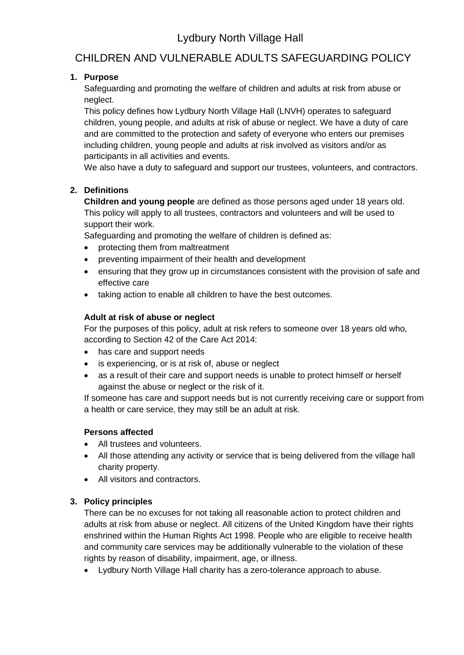# Lydbury North Village Hall

## CHILDREN AND VULNERABLE ADULTS SAFEGUARDING POLICY

## **1. Purpose**

Safeguarding and promoting the welfare of children and adults at risk from abuse or neglect.

This policy defines how Lydbury North Village Hall (LNVH) operates to safeguard children, young people, and adults at risk of abuse or neglect. We have a duty of care and are committed to the protection and safety of everyone who enters our premises including children, young people and adults at risk involved as visitors and/or as participants in all activities and events.

We also have a duty to safeguard and support our trustees, volunteers, and contractors.

## **2. Definitions**

**Children and young people** are defined as those persons aged under 18 years old. This policy will apply to all trustees, contractors and volunteers and will be used to support their work.

Safeguarding and promoting the welfare of children is defined as:

- protecting them from maltreatment
- preventing impairment of their health and development
- ensuring that they grow up in circumstances consistent with the provision of safe and effective care
- taking action to enable all children to have the best outcomes.

### **Adult at risk of abuse or neglect**

For the purposes of this policy, adult at risk refers to someone over 18 years old who, according to Section 42 of the Care Act 2014:

- has care and support needs
- is experiencing, or is at risk of, abuse or neglect
- as a result of their care and support needs is unable to protect himself or herself against the abuse or neglect or the risk of it.

If someone has care and support needs but is not currently receiving care or support from a health or care service, they may still be an adult at risk.

## **Persons affected**

- All trustees and volunteers.
- All those attending any activity or service that is being delivered from the village hall charity property.
- All visitors and contractors.

## **3. Policy principles**

There can be no excuses for not taking all reasonable action to protect children and adults at risk from abuse or neglect. All citizens of the United Kingdom have their rights enshrined within the Human Rights Act 1998. People who are eligible to receive health and community care services may be additionally vulnerable to the violation of these rights by reason of disability, impairment, age, or illness.

• Lydbury North Village Hall charity has a zero-tolerance approach to abuse.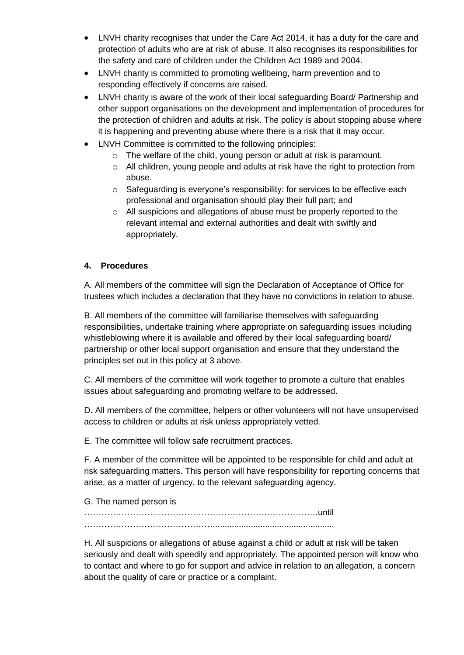- LNVH charity recognises that under the Care Act 2014, it has a duty for the care and protection of adults who are at risk of abuse. It also recognises its responsibilities for the safety and care of children under the Children Act 1989 and 2004.
- LNVH charity is committed to promoting wellbeing, harm prevention and to responding effectively if concerns are raised.
- LNVH charity is aware of the work of their local safeguarding Board/ Partnership and other support organisations on the development and implementation of procedures for the protection of children and adults at risk. The policy is about stopping abuse where it is happening and preventing abuse where there is a risk that it may occur.
- LNVH Committee is committed to the following principles:
	- o The welfare of the child, young person or adult at risk is paramount.
	- o All children, young people and adults at risk have the right to protection from abuse.
	- o Safeguarding is everyone's responsibility: for services to be effective each professional and organisation should play their full part; and
	- o All suspicions and allegations of abuse must be properly reported to the relevant internal and external authorities and dealt with swiftly and appropriately.

## **4. Procedures**

A. All members of the committee will sign the Declaration of Acceptance of Office for trustees which includes a declaration that they have no convictions in relation to abuse.

B. All members of the committee will familiarise themselves with safeguarding responsibilities, undertake training where appropriate on safeguarding issues including whistleblowing where it is available and offered by their local safeguarding board/ partnership or other local support organisation and ensure that they understand the principles set out in this policy at 3 above.

C. All members of the committee will work together to promote a culture that enables issues about safeguarding and promoting welfare to be addressed.

D. All members of the committee, helpers or other volunteers will not have unsupervised access to children or adults at risk unless appropriately vetted.

E. The committee will follow safe recruitment practices.

F. A member of the committee will be appointed to be responsible for child and adult at risk safeguarding matters. This person will have responsibility for reporting concerns that arise, as a matter of urgency, to the relevant safeguarding agency.

G. The named person is

……………………………………………………………………….until . The contract of the contract of the contract of the contract of the contract of the contract of the contract of the contract of the contract of the contract of the contract of the contract of the contract of the contrac

H. All suspicions or allegations of abuse against a child or adult at risk will be taken seriously and dealt with speedily and appropriately. The appointed person will know who to contact and where to go for support and advice in relation to an allegation, a concern about the quality of care or practice or a complaint.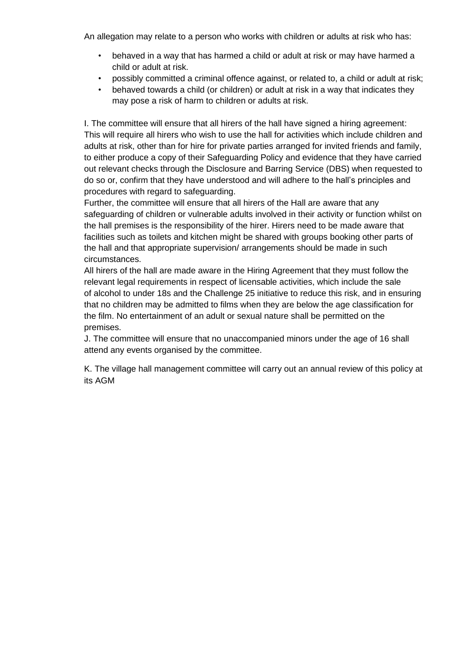An allegation may relate to a person who works with children or adults at risk who has:

- behaved in a way that has harmed a child or adult at risk or may have harmed a child or adult at risk.
- possibly committed a criminal offence against, or related to, a child or adult at risk;
- behaved towards a child (or children) or adult at risk in a way that indicates they may pose a risk of harm to children or adults at risk.

I. The committee will ensure that all hirers of the hall have signed a hiring agreement: This will require all hirers who wish to use the hall for activities which include children and adults at risk, other than for hire for private parties arranged for invited friends and family, to either produce a copy of their Safeguarding Policy and evidence that they have carried out relevant checks through the Disclosure and Barring Service (DBS) when requested to do so or, confirm that they have understood and will adhere to the hall's principles and procedures with regard to safeguarding.

Further, the committee will ensure that all hirers of the Hall are aware that any safeguarding of children or vulnerable adults involved in their activity or function whilst on the hall premises is the responsibility of the hirer. Hirers need to be made aware that facilities such as toilets and kitchen might be shared with groups booking other parts of the hall and that appropriate supervision/ arrangements should be made in such circumstances.

All hirers of the hall are made aware in the Hiring Agreement that they must follow the relevant legal requirements in respect of licensable activities, which include the sale of alcohol to under 18s and the Challenge 25 initiative to reduce this risk, and in ensuring that no children may be admitted to films when they are below the age classification for the film. No entertainment of an adult or sexual nature shall be permitted on the premises.

J. The committee will ensure that no unaccompanied minors under the age of 16 shall attend any events organised by the committee.

K. The village hall management committee will carry out an annual review of this policy at its AGM